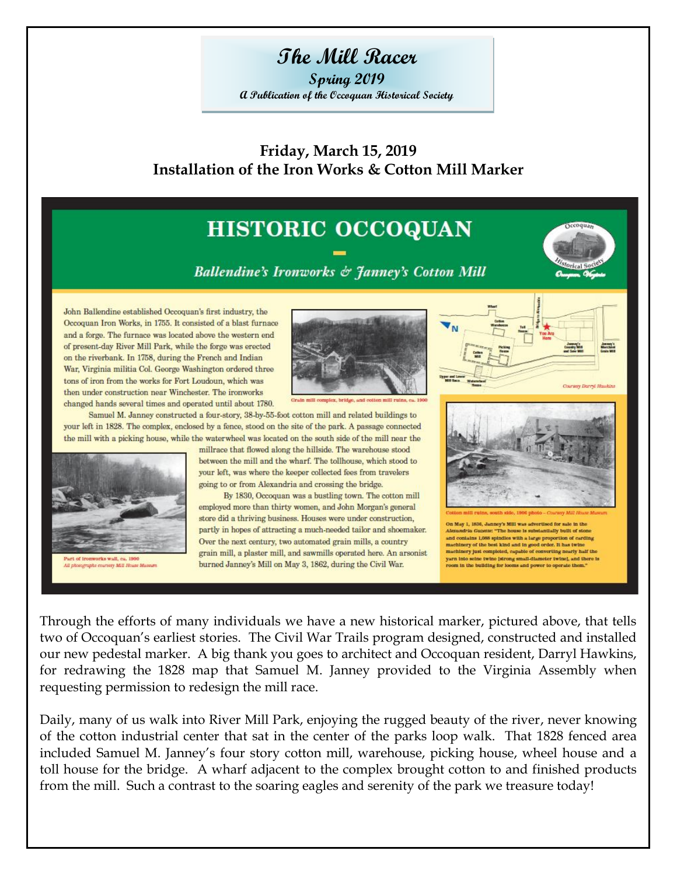# **The Mill Racer**

**Spring 2019 A Publication of the Occoquan Historical Society**

**Friday, March 15, 2019 Installation of the Iron Works & Cotton Mill Marker**

#### **HISTORIC OCCOQUAN Ballendine's Ironworks & Janney's Cotton Mill** John Ballendine established Occoquan's first industry, the Occoquan Iron Works, in 1755. It consisted of a blast furnace and a forge. The furnace was located above the western end of present-day River Mill Park, while the forge was erected on the riverbank. In 1758, during the French and Indian War, Virginia militia Col. George Washington ordered three tons of iron from the works for Fort Loudoun, which was then under construction near Winchester. The ironworks changed hands several times and operated until about 1780. Samuel M. Janney constructed a four-story, 38-by-55-foot cotton mill and related buildings to your left in 1828. The complex, enclosed by a fence, stood on the site of the park. A passage connected the mill with a picking house, while the waterwheel was located on the south side of the mill near the millrace that flowed along the hillside. The warehouse stood between the mill and the wharf. The tollhouse, which stood to your left, was where the keeper collected fees from travelers going to or from Alexandria and crossing the bridge. By 1830, Occoquan was a bustling town. The cotton mill employed more than thirty women, and John Morgan's general store did a thriving business. Houses were under construction, May 1, 1836, Janney's Mill was advertised for sale in the partly in hopes of attracting a much-needed tailor and shoemaker. randria Gazerre: "The house is substantially built of ston and contains 1,088 spindles with a large proportion of carding<br>machinery of the best kind and in good order. It has twine<br>machinery just completed, capable of converting nearly half the<br>machinery just completed, capable of Over the next century, two automated grain mills, a country grain mill, a plaster mill, and sawmills operated here. An arsonist vorks wall, ca. 1900 yarn into seine twine [strong small-diameter twine], and there is burned Janney's Mill on May 3, 1862, during the Civil War. room in the building for looms and power to operate them.' sy Mill House Mu

Through the efforts of many individuals we have a new historical marker, pictured above, that tells two of Occoquan's earliest stories. The Civil War Trails program designed, constructed and installed our new pedestal marker. A big thank you goes to architect and Occoquan resident, Darryl Hawkins, for redrawing the 1828 map that Samuel M. Janney provided to the Virginia Assembly when requesting permission to redesign the mill race.

Daily, many of us walk into River Mill Park, enjoying the rugged beauty of the river, never knowing of the cotton industrial center that sat in the center of the parks loop walk. That 1828 fenced area included Samuel M. Janney's four story cotton mill, warehouse, picking house, wheel house and a toll house for the bridge. A wharf adjacent to the complex brought cotton to and finished products from the mill. Such a contrast to the soaring eagles and serenity of the park we treasure today!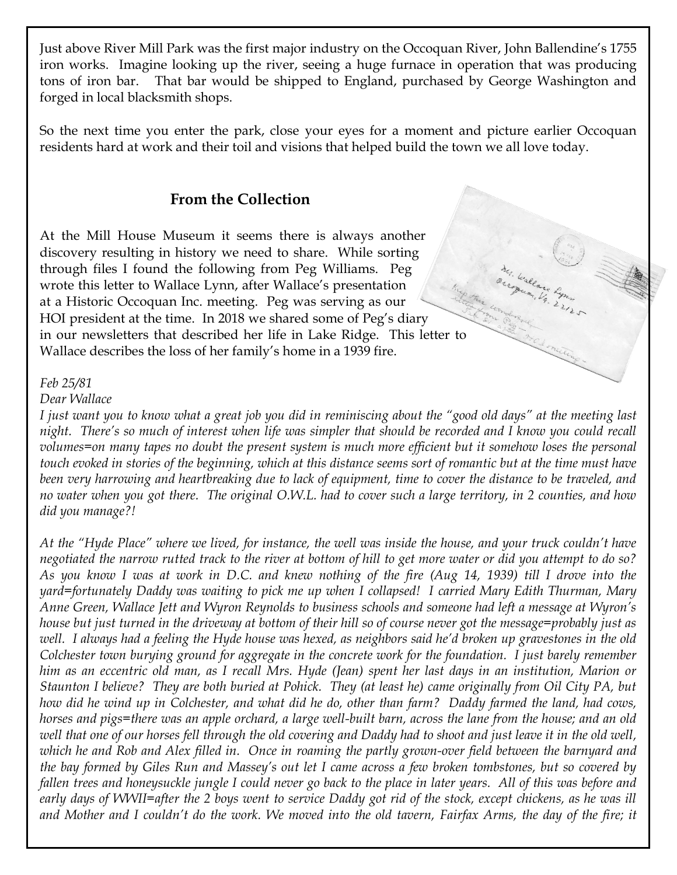Just above River Mill Park was the first major industry on the Occoquan River, John Ballendine's 1755 iron works. Imagine looking up the river, seeing a huge furnace in operation that was producing tons of iron bar. That bar would be shipped to England, purchased by George Washington and forged in local blacksmith shops.

So the next time you enter the park, close your eyes for a moment and picture earlier Occoquan residents hard at work and their toil and visions that helped build the town we all love today.

my wallace Lynn

### **From the Collection**

At the Mill House Museum it seems there is always another discovery resulting in history we need to share. While sorting through files I found the following from Peg Williams. Peg wrote this letter to Wallace Lynn, after Wallace's presentation at a Historic Occoquan Inc. meeting. Peg was serving as our HOI president at the time. In 2018 we shared some of Peg's diary in our newsletters that described her life in Lake Ridge. This letter to Wallace describes the loss of her family's home in a 1939 fire.

### *Feb 25/81*

#### *Dear Wallace*

*I just want you to know what a great job you did in reminiscing about the "good old days" at the meeting last*  night. There's so much of interest when life was simpler that should be recorded and I know you could recall *volumes=on many tapes no doubt the present system is much more efficient but it somehow loses the personal touch evoked in stories of the beginning, which at this distance seems sort of romantic but at the time must have been very harrowing and heartbreaking due to lack of equipment, time to cover the distance to be traveled, and no water when you got there. The original O.W.L. had to cover such a large territory, in 2 counties, and how did you manage?!*

*At the "Hyde Place" where we lived, for instance, the well was inside the house, and your truck couldn't have negotiated the narrow rutted track to the river at bottom of hill to get more water or did you attempt to do so? As you know I was at work in D.C. and knew nothing of the fire (Aug 14, 1939) till I drove into the yard=fortunately Daddy was waiting to pick me up when I collapsed! I carried Mary Edith Thurman, Mary Anne Green, Wallace Jett and Wyron Reynolds to business schools and someone had left a message at Wyron's house but just turned in the driveway at bottom of their hill so of course never got the message=probably just as well. I always had a feeling the Hyde house was hexed, as neighbors said he'd broken up gravestones in the old Colchester town burying ground for aggregate in the concrete work for the foundation. I just barely remember him as an eccentric old man, as I recall Mrs. Hyde (Jean) spent her last days in an institution, Marion or Staunton I believe? They are both buried at Pohick. They (at least he) came originally from Oil City PA, but how did he wind up in Colchester, and what did he do, other than farm? Daddy farmed the land, had cows, horses and pigs=there was an apple orchard, a large well-built barn, across the lane from the house; and an old well that one of our horses fell through the old covering and Daddy had to shoot and just leave it in the old well, which he and Rob and Alex filled in. Once in roaming the partly grown-over field between the barnyard and the bay formed by Giles Run and Massey's out let I came across a few broken tombstones, but so covered by fallen trees and honeysuckle jungle I could never go back to the place in later years. All of this was before and early days of WWII=after the 2 boys went to service Daddy got rid of the stock, except chickens, as he was ill and Mother and I couldn't do the work. We moved into the old tavern, Fairfax Arms, the day of the fire; it*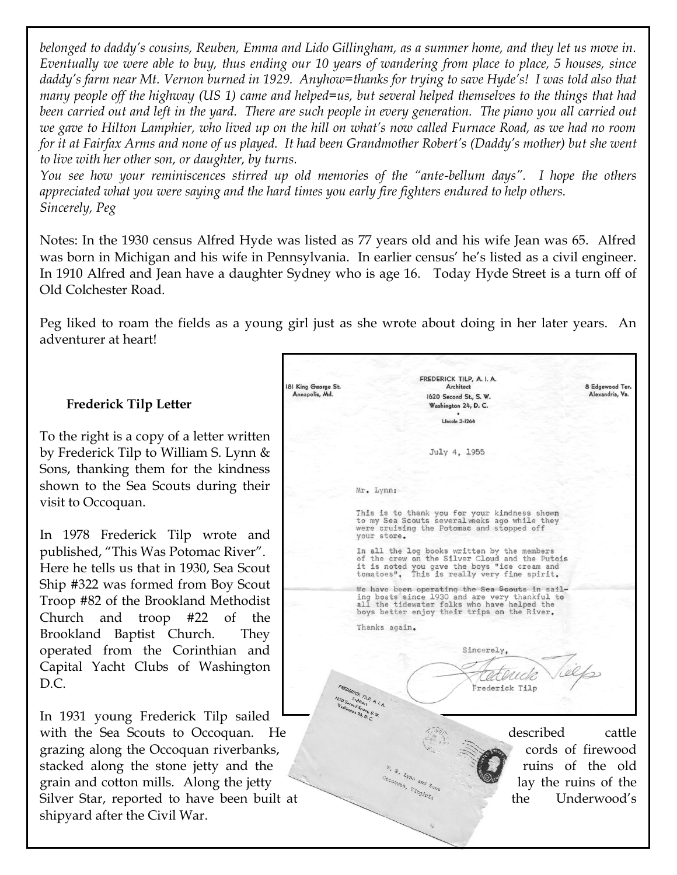*belonged to daddy's cousins, Reuben, Emma and Lido Gillingham, as a summer home, and they let us move in. Eventually we were able to buy, thus ending our 10 years of wandering from place to place, 5 houses, since daddy's farm near Mt. Vernon burned in 1929. Anyhow=thanks for trying to save Hyde's! I was told also that many people off the highway (US 1) came and helped=us, but several helped themselves to the things that had been carried out and left in the yard. There are such people in every generation. The piano you all carried out we gave to Hilton Lamphier, who lived up on the hill on what's now called Furnace Road, as we had no room for it at Fairfax Arms and none of us played. It had been Grandmother Robert's (Daddy's mother) but she went to live with her other son, or daughter, by turns.*

*You see how your reminiscences stirred up old memories of the "ante-bellum days". I hope the others appreciated what you were saying and the hard times you early fire fighters endured to help others. Sincerely, Peg*

Notes: In the 1930 census Alfred Hyde was listed as 77 years old and his wife Jean was 65. Alfred was born in Michigan and his wife in Pennsylvania. In earlier census' he's listed as a civil engineer. In 1910 Alfred and Jean have a daughter Sydney who is age 16. Today Hyde Street is a turn off of Old Colchester Road.

Peg liked to roam the fields as a young girl just as she wrote about doing in her later years. An adventurer at heart!

### **Frederick Tilp Letter**

To the right is a copy of a letter written by Frederick Tilp to William S. Lynn & Sons, thanking them for the kindness shown to the Sea Scouts during their visit to Occoquan.

In 1978 Frederick Tilp wrote and published, "This Was Potomac River". Here he tells us that in 1930, Sea Scout Ship #322 was formed from Boy Scout Troop #82 of the Brookland Methodist Church and troop #22 of the Brookland Baptist Church. They operated from the Corinthian and Capital Yacht Clubs of Washington D.C.

In 1931 young Frederick Tilp sailed shipyard after the Civil War.

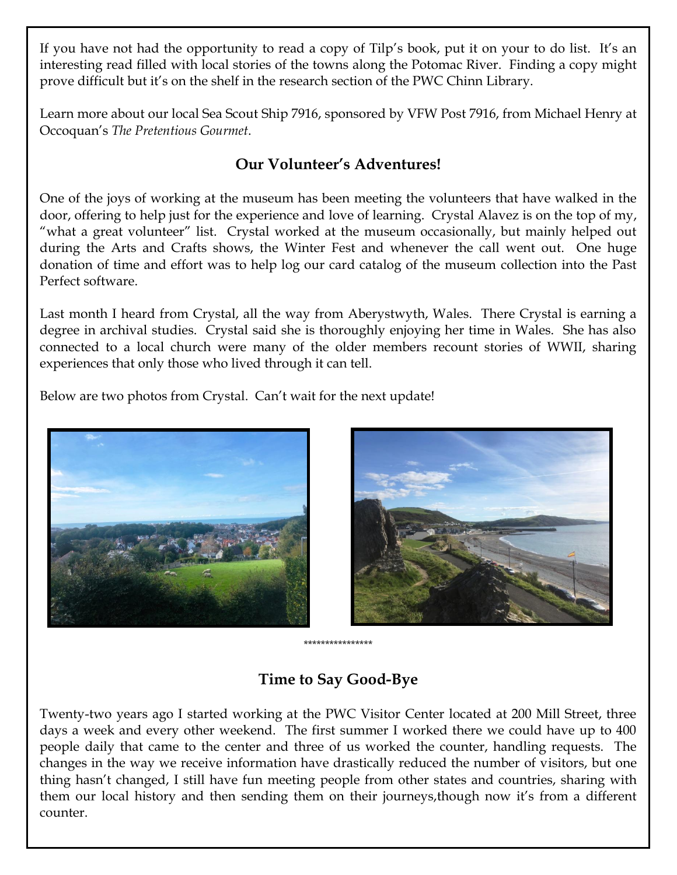If you have not had the opportunity to read a copy of Tilp's book, put it on your to do list. It's an interesting read filled with local stories of the towns along the Potomac River. Finding a copy might prove difficult but it's on the shelf in the research section of the PWC Chinn Library.

Learn more about our local Sea Scout Ship 7916, sponsored by VFW Post 7916, from Michael Henry at Occoquan's *The Pretentious Gourmet*.

### **Our Volunteer's Adventures!**

One of the joys of working at the museum has been meeting the volunteers that have walked in the door, offering to help just for the experience and love of learning. Crystal Alavez is on the top of my, "what a great volunteer" list. Crystal worked at the museum occasionally, but mainly helped out during the Arts and Crafts shows, the Winter Fest and whenever the call went out. One huge donation of time and effort was to help log our card catalog of the museum collection into the Past Perfect software.

Last month I heard from Crystal, all the way from Aberystwyth, Wales. There Crystal is earning a degree in archival studies. Crystal said she is thoroughly enjoying her time in Wales. She has also connected to a local church were many of the older members recount stories of WWII, sharing experiences that only those who lived through it can tell.

Below are two photos from Crystal. Can't wait for the next update!





## **Time to Say Good-Bye**

Twenty-two years ago I started working at the PWC Visitor Center located at 200 Mill Street, three days a week and every other weekend. The first summer I worked there we could have up to 400 people daily that came to the center and three of us worked the counter, handling requests. The changes in the way we receive information have drastically reduced the number of visitors, but one thing hasn't changed, I still have fun meeting people from other states and countries, sharing with them our local history and then sending them on their journeys,though now it's from a different counter.